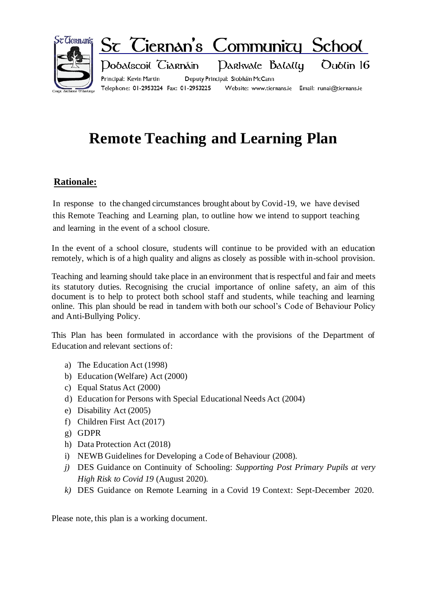

# **Remote Teaching and Learning Plan**

## **Rationale:**

In response to the changed circumstances brought about by Covid-19, we have devised this Remote Teaching and Learning plan, to outline how we intend to support teaching and learning in the event of a school closure.

In the event of a school closure, students will continue to be provided with an education remotely, which is of a high quality and aligns as closely as possible with in-school provision.

Teaching and learning should take place in an environment that is respectful and fair and meets its statutory duties. Recognising the crucial importance of online safety, an aim of this document is to help to protect both school staff and students, while teaching and learning online. This plan should be read in tandem with both our school's Code of Behaviour Policy and Anti-Bullying Policy.

This Plan has been formulated in accordance with the provisions of the Department of Education and relevant sections of:

- a) The Education Act (1998)
- b) Education (Welfare) Act (2000)
- c) Equal Status Act (2000)
- d) Education for Persons with Special Educational Needs Act (2004)
- e) Disability Act (2005)
- f) Children First Act (2017)
- g) GDPR
- h) Data Protection Act (2018)
- i) NEWB Guidelines for Developing a Code of Behaviour (2008).
- *j)* DES Guidance on Continuity of Schooling: *Supporting Post Primary Pupils at very High Risk to Covid 19* (August 2020)*.*
- *k)* DES Guidance on Remote Learning in a Covid 19 Context: Sept-December 2020.

Please note, this plan is a working document.